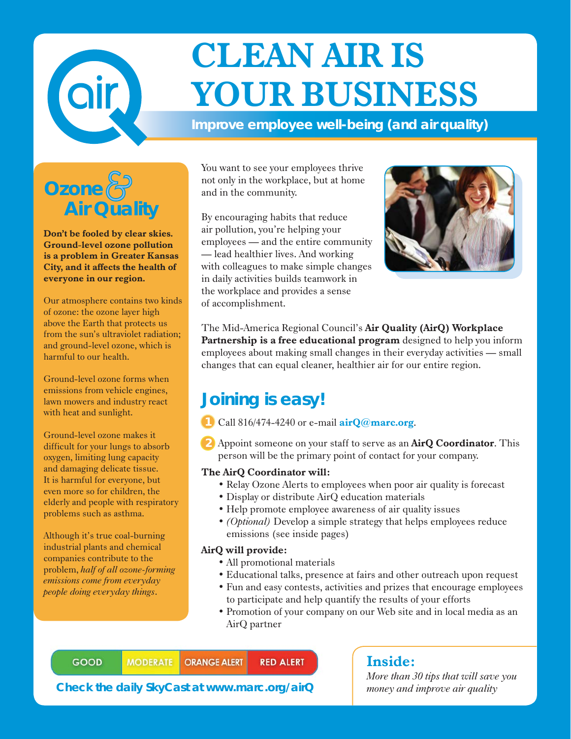

# **CLEAN AIR IS YOUR BUSINESS**

**Improve employee well-being (and air quality)**



**Don't be fooled by clear skies. Ground-level ozone pollution is a problem in Greater Kansas City, and it affects the health of everyone in our region.**

Our atmosphere contains two kinds of ozone: the ozone layer high above the Earth that protects us from the sun's ultraviolet radiation; and ground-level ozone, which is harmful to our health.

Ground-level ozone forms when emissions from vehicle engines, lawn mowers and industry react with heat and sunlight.

Ground-level ozone makes it difficult for your lungs to absorb oxygen, limiting lung capacity and damaging delicate tissue. It is harmful for everyone, but even more so for children, the elderly and people with respiratory problems such as asthma.

Although it's true coal-burning industrial plants and chemical companies contribute to the problem, *half of all ozone-forming emissions come from everyday people doing everyday things*.

You want to see your employees thrive not only in the workplace, but at home and in the community.

By encouraging habits that reduce air pollution, you're helping your employees — and the entire community — lead healthier lives. And working with colleagues to make simple changes in daily activities builds teamwork in the workplace and provides a sense of accomplishment.



The Mid-America Regional Council's **Air Quality (AirQ) Workplace Partnership is a free educational program** designed to help you inform employees about making small changes in their everyday activities — small changes that can equal cleaner, healthier air for our entire region.

## **Joining is easy!**

Call 816/474-4240 or e-mail **airQ@marc.org**.

Appoint someone on your staff to serve as an **AirQ Coordinator**. This person will be the primary point of contact for your company. **2**

#### **The AirQ Coordinator will:**

- Relay Ozone Alerts to employees when poor air quality is forecast
- Display or distribute AirQ education materials
- Help promote employee awareness of air quality issues
- *(Optional)* Develop a simple strategy that helps employees reduce emissions (see inside pages)

#### **AirQ will provide:**

- All promotional materials
- Educational talks, presence at fairs and other outreach upon request
- Fun and easy contests, activities and prizes that encourage employees to participate and help quantify the results of your efforts
- Promotion of your company on our Web site and in local media as an AirQ partner

**GOOD MODERATE ORANGE ALERT RED ALERT** 

**Check the daily SkyCast at www.marc.org/airQ**

#### **Inside:**

*More than 30 tips that will save you money and improve air quality*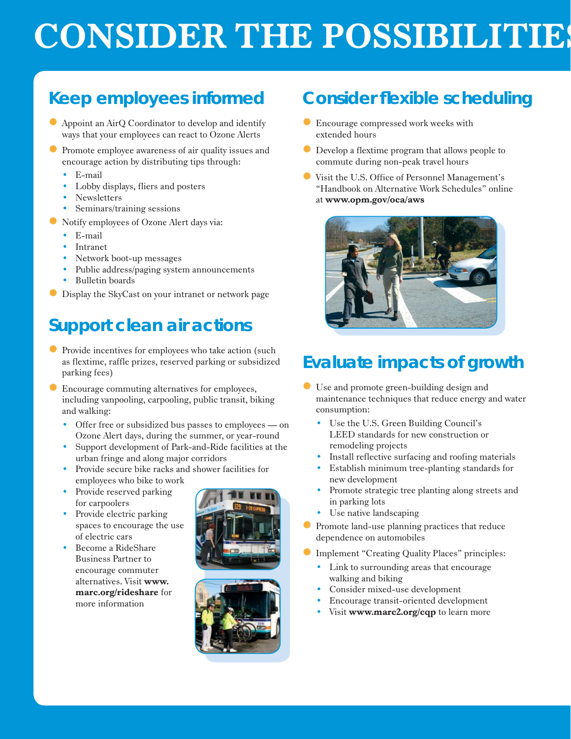# **CONSIDER THE POSSIBILITIES**

## **Keep employees informed**

- Appoint an AirQ Coordinator to develop and identify ways that your employees can react to Ozone Alerts
- Promote employee awareness of air quality issues and encourage action by distributing tips through:
	- E-mail
	- Lobby displays, fliers and posters
	- Newsletters
	- Seminars/training sessions
- Notify employees of Ozone Alert days via:
	- $\bullet$  E-mail
	- Intranet
	- Network boot-up messages
	- Public address/paging system announcements
	- Bulletin boards
- $\bullet$  Display the SkyCast on your intranet or network page

## **Support clean air actions**

- $\bullet$  Provide incentives for employees who take action (such as flextime, raffle prizes, reserved parking or subsidized parking fees)
- Encourage commuting alternatives for employees, including vanpooling, carpooling, public transit, biking and walking:
	- Offer free or subsidized bus passes to employees on Ozone Alert days, during the summer, or year-round
	- y Support development of Park-and-Ride facilities at the urban fringe and along major corridors
	- Provide secure bike racks and shower facilities for employees who bike to work
	- Provide reserved parking for carpoolers
	- Provide electric parking spaces to encourage the use of electric cars
	- Become a RideShare Business Partner to encourage commuter alternatives. Visit **www. marc.org/rideshare** for more information





#### **Consider flexible scheduling**

- **Encourage compressed work weeks with** extended hours
- $\bullet$  Develop a flextime program that allows people to commute during non-peak travel hours
- Visit the U.S. Office of Personnel Management's "Handbook on Alternative Work Schedules" online at **www.opm.gov/oca/aws**



## **Evaluate impacts of growth**

- z Use and promote green-building design and maintenance techniques that reduce energy and water consumption:
	- y Use the U.S. Green Building Council's LEED standards for new construction or remodeling projects
	- Install reflective surfacing and roofing materials
	- Establish minimum tree-planting standards for new development
	- Promote strategic tree planting along streets and in parking lots
	- Use native landscaping
- $\bullet$  Promote land-use planning practices that reduce dependence on automobiles
- Implement "Creating Quality Places" principles:
	- Link to surrounding areas that encourage walking and biking
	- Consider mixed-use development
	- Encourage transit-oriented development
	- **v** Visit **www.marc2.org/cqp** to learn more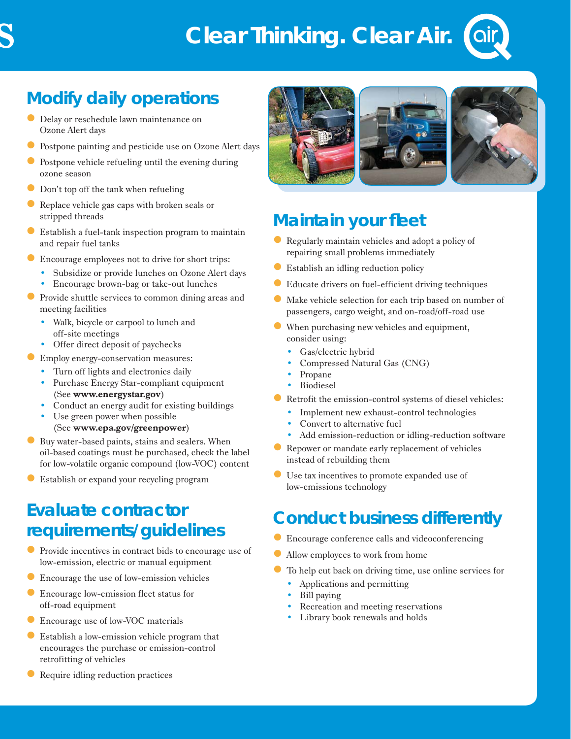## **Clear Thinking. Clear Air.**



## **Modify daily operations**

- $\bullet$  Delay or reschedule lawn maintenance on Ozone Alert days
- Postpone painting and pesticide use on Ozone Alert days
- Postpone vehicle refueling until the evening during ozone season
- Don't top off the tank when refueling
- Replace vehicle gas caps with broken seals or stripped threads
- $\bullet$  Establish a fuel-tank inspection program to maintain and repair fuel tanks
- **Encourage employees not to drive for short trips:** 
	- Subsidize or provide lunches on Ozone Alert days
	- Encourage brown-bag or take-out lunches
- $\bullet$  Provide shuttle services to common dining areas and meeting facilities
	- Walk, bicycle or carpool to lunch and off-site meetings
	- Offer direct deposit of paychecks
- **Employ energy-conservation measures:** 
	- Turn off lights and electronics daily
	- Purchase Energy Star-compliant equipment (See **www.energystar.gov**)
	- Conduct an energy audit for existing buildings
	- Use green power when possible (See **www.epa.gov/greenpower**)
- $\bullet$  Buy water-based paints, stains and sealers. When oil-based coatings must be purchased, check the label for low-volatile organic compound (low-VOC) content
- z Establish or expand your recycling program

## **Evaluate contractor requirements/guidelines**

- $\bullet$  Provide incentives in contract bids to encourage use of low-emission, electric or manual equipment
- $\bullet$  Encourage the use of low-emission vehicles
- **Encourage low-emission fleet status for** off-road equipment
- **Encourage use of low-VOC materials**
- $\bullet$  Establish a low-emission vehicle program that encourages the purchase or emission-control retrofitting of vehicles
- Require idling reduction practices



### **Maintain your fleet**

- Regularly maintain vehicles and adopt a policy of repairing small problems immediately
- $\bullet$  Establish an idling reduction policy
- Educate drivers on fuel-efficient driving techniques
- $\bullet$  Make vehicle selection for each trip based on number of passengers, cargo weight, and on-road/off-road use
- $\bullet$  When purchasing new vehicles and equipment, consider using:
	- Gas/electric hybrid
	- Compressed Natural Gas (CNG)
	- Propane
	- **Biodiesel**
- $\bullet$  Retrofit the emission-control systems of diesel vehicles:
	- Implement new exhaust-control technologies
	- Convert to alternative fuel
	- Add emission-reduction or idling-reduction software
- $\bullet$  Repower or mandate early replacement of vehicles instead of rebuilding them
- z Use tax incentives to promote expanded use of low-emissions technology

#### **Conduct business differently**

- $\bullet$  Encourage conference calls and videoconferencing
- $\bullet$  Allow employees to work from home
	- To help cut back on driving time, use online services for
		- Applications and permitting
	- Bill paying
	- Recreation and meeting reservations
	- Library book renewals and holds